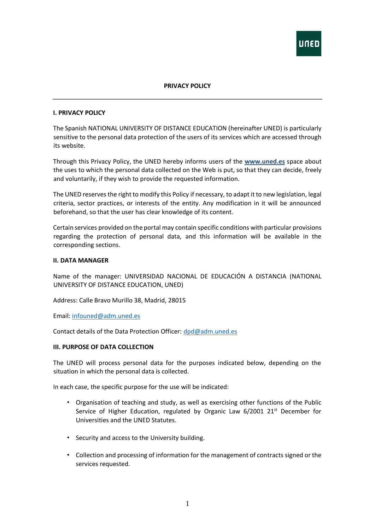

# **PRIVACY POLICY**

#### **I. PRIVACY POLICY**

The Spanish NATIONAL UNIVERSITY OF DISTANCE EDUCATION (hereinafter UNED) is particularly sensitive to the personal data protection of the users of its services which are accessed through its website.

Through this Privacy Policy, the UNED hereby informs users of the **[www.uned.es](http://www.uned.es/)** space about the uses to which the personal data collected on the Web is put, so that they can decide, freely and voluntarily, if they wish to provide the requested information.

The UNED reserves the right to modify this Policy if necessary, to adapt it to new legislation, legal criteria, sector practices, or interests of the entity. Any modification in it will be announced beforehand, so that the user has clear knowledge of its content.

Certain services provided on the portal may contain specific conditions with particular provisions regarding the protection of personal data, and this information will be available in the corresponding sections.

#### **II. DATA MANAGER**

Name of the manager: UNIVERSIDAD NACIONAL DE EDUCACIÓN A DISTANCIA (NATIONAL UNIVERSITY OF DISTANCE EDUCATION, UNED)

Address: Calle Bravo Murillo 38, Madrid, 28015

Email: [infouned@adm.uned.es](mailto:infouned@adm.uned.es)

Contact details of the Data Protection Officer: [dpd@adm.uned.es](mailto:dpd@adm.uned.es)

#### **III. PURPOSE OF DATA COLLECTION**

The UNED will process personal data for the purposes indicated below, depending on the situation in which the personal data is collected.

In each case, the specific purpose for the use will be indicated:

- Organisation of teaching and study, as well as exercising other functions of the Public Service of Higher Education, regulated by Organic Law  $6/2001$  21<sup>st</sup> December for Universities and the UNED Statutes.
- Security and access to the University building.
- Collection and processing of information for the management of contracts signed or the services requested.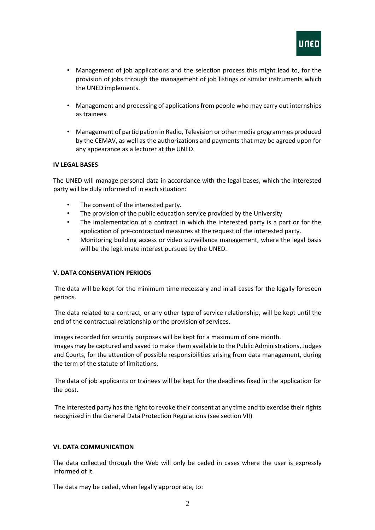

- Management of job applications and the selection process this might lead to, for the provision of jobs through the management of job listings or similar instruments which the UNED implements.
- Management and processing of applications from people who may carry out internships as trainees.
- Management of participation in Radio, Television or other media programmes produced by the CEMAV, as well as the authorizations and payments that may be agreed upon for any appearance as a lecturer at the UNED.

## **IV LEGAL BASES**

The UNED will manage personal data in accordance with the legal bases, which the interested party will be duly informed of in each situation:

- The consent of the interested party.
- The provision of the public education service provided by the University
- The implementation of a contract in which the interested party is a part or for the application of pre-contractual measures at the request of the interested party.
- Monitoring building access or video surveillance management, where the legal basis will be the legitimate interest pursued by the UNED.

## **V. DATA CONSERVATION PERIODS**

The data will be kept for the minimum time necessary and in all cases for the legally foreseen periods.

The data related to a contract, or any other type of service relationship, will be kept until the end of the contractual relationship or the provision of services.

Images recorded for security purposes will be kept for a maximum of one month. Images may be captured and saved to make them available to the Public Administrations, Judges and Courts, for the attention of possible responsibilities arising from data management, during the term of the statute of limitations.

The data of job applicants or trainees will be kept for the deadlines fixed in the application for the post.

The interested party has the right to revoke their consent at any time and to exercise their rights recognized in the General Data Protection Regulations (see section VII)

## **VI. DATA COMMUNICATION**

The data collected through the Web will only be ceded in cases where the user is expressly informed of it.

The data may be ceded, when legally appropriate, to: